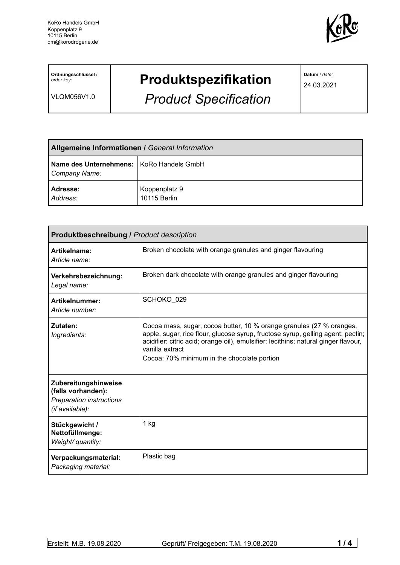

**Ordnungsschlüssel** / *order key:*

VLQM056V1.0

# **Produktspezifikation**

*Product Specification*

**Datum** / *date:*

24.03.2021

| <b>Allgemeine Informationen / General Information</b>       |                               |
|-------------------------------------------------------------|-------------------------------|
| Name des Unternehmens:   KoRo Handels GmbH<br>Company Name: |                               |
| Adresse:<br>Address:                                        | Koppenplatz 9<br>10115 Berlin |

| <b>Produktbeschreibung / Product description</b>                                                 |                                                                                                                                                                                                                                                                                                                  |  |  |
|--------------------------------------------------------------------------------------------------|------------------------------------------------------------------------------------------------------------------------------------------------------------------------------------------------------------------------------------------------------------------------------------------------------------------|--|--|
| Artikelname:<br>Article name:                                                                    | Broken chocolate with orange granules and ginger flavouring                                                                                                                                                                                                                                                      |  |  |
| Verkehrsbezeichnung:<br>Legal name:                                                              | Broken dark chocolate with orange granules and ginger flavouring                                                                                                                                                                                                                                                 |  |  |
| Artikelnummer:<br>Article number:                                                                | SCHOKO 029                                                                                                                                                                                                                                                                                                       |  |  |
| Zutaten:<br>Ingredients:                                                                         | Cocoa mass, sugar, cocoa butter, 10 % orange granules (27 % oranges,<br>apple, sugar, rice flour, glucose syrup, fructose syrup, gelling agent: pectin;<br>acidifier: citric acid; orange oil), emulsifier: lecithins; natural ginger flavour,<br>vanilla extract<br>Cocoa: 70% minimum in the chocolate portion |  |  |
| Zubereitungshinweise<br>(falls vorhanden):<br><b>Preparation instructions</b><br>(if available): |                                                                                                                                                                                                                                                                                                                  |  |  |
| Stückgewicht /<br>Nettofüllmenge:<br>Weight/ quantity:                                           | 1 kg                                                                                                                                                                                                                                                                                                             |  |  |
| Verpackungsmaterial:<br>Packaging material:                                                      | Plastic bag                                                                                                                                                                                                                                                                                                      |  |  |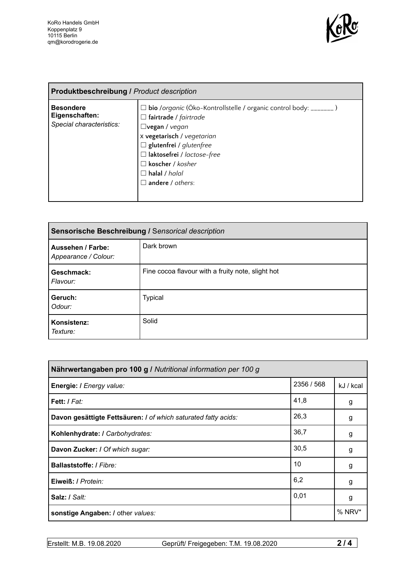

| <b>Produktbeschreibung / Product description</b>               |                                                                                                                                                                                                                                                                                              |  |
|----------------------------------------------------------------|----------------------------------------------------------------------------------------------------------------------------------------------------------------------------------------------------------------------------------------------------------------------------------------------|--|
| <b>Besondere</b><br>Eigenschaften:<br>Special characteristics: | bio /organic (Öko-Kontrollstelle / organic control body: _______ )<br>l <b>fairtrade</b> / fairtrade<br>$\Box$ vegan / vegan<br>x vegetarisch / vegetarian<br>$\Box$ glutenfrei / glutenfree<br>□ laktosefrei / lactose-free<br>koscher / kosher<br>$\Box$ halal / halal<br>andere / others: |  |

| Sensorische Beschreibung / Sensorical description |                                                   |  |
|---------------------------------------------------|---------------------------------------------------|--|
| Aussehen / Farbe:<br>Appearance / Colour:         | Dark brown                                        |  |
| Geschmack:<br>Flavour:                            | Fine cocoa flavour with a fruity note, slight hot |  |
| Geruch:<br>Odour:                                 | <b>Typical</b>                                    |  |
| Konsistenz:<br>Texture:                           | Solid                                             |  |

| Nährwertangaben pro 100 g / Nutritional information per 100 g  |            |           |  |
|----------------------------------------------------------------|------------|-----------|--|
| Energie: I Energy value:                                       | 2356 / 568 | kJ / kcal |  |
| <b>Fett:</b> I Fat:                                            | 41,8       | g         |  |
| Davon gesättigte Fettsäuren: I of which saturated fatty acids: | 26,3       | g         |  |
| Kohlenhydrate: I Carbohydrates:                                | 36,7       | g         |  |
| Davon Zucker: / Of which sugar:                                | 30,5       | g         |  |
| <b>Ballaststoffe: / Fibre:</b>                                 | 10         | g         |  |
| Eiweiß: / Protein:                                             | 6,2        | g         |  |
| Salz: / Salt:                                                  | 0,01       | g         |  |
| sonstige Angaben: / other values:                              |            | % NRV*    |  |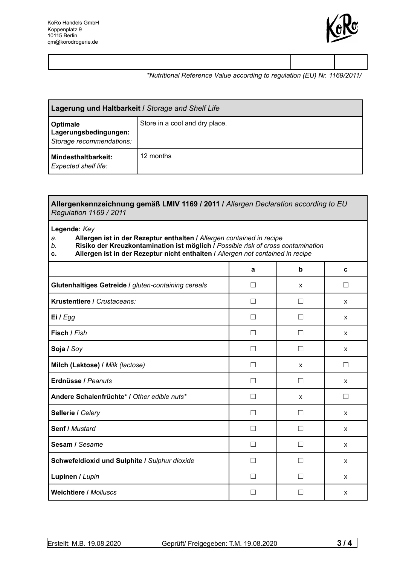

### *\*Nutritional Reference Value according to regulation (EU) Nr. 1169/2011/*

| Lagerung und Haltbarkeit / Storage and Shelf Life             |                                |  |
|---------------------------------------------------------------|--------------------------------|--|
| Optimale<br>Lagerungsbedingungen:<br>Storage recommendations: | Store in a cool and dry place. |  |
| Mindesthaltbarkeit:<br><b>Expected shelf life:</b>            | 12 months                      |  |

#### **Allergenkennzeichnung gemäß LMIV 1169 / 2011 /** *Allergen Declaration according to EU Regulation 1169 / 2011*

#### **Legende:** *Key*

## *a.* **Allergen ist in der Rezeptur enthalten /** *Allergen contained in recipe*

- *b.* **Risiko der Kreuzkontamination ist möglich /** *Possible risk of cross contamination*
- **c. Allergen ist in der Rezeptur nicht enthalten /** *Allergen not contained in recipe*

|                                                     | a                        | b | C                        |
|-----------------------------------------------------|--------------------------|---|--------------------------|
| Glutenhaltiges Getreide / gluten-containing cereals | a l                      | x |                          |
| Krustentiere / Crustaceans:                         | П                        |   | X                        |
| Ei / Egg                                            | $\overline{\phantom{a}}$ |   | X                        |
| Fisch / Fish                                        | П                        |   | X                        |
| Soja / Soy                                          | L.                       |   | X                        |
| Milch (Laktose) / Milk (lactose)                    | $\overline{\phantom{0}}$ | X |                          |
| Erdnüsse / Peanuts                                  |                          |   | X                        |
| Andere Schalenfrüchte* / Other edible nuts*         | $\mathsf{L}$             | X | $\overline{\phantom{a}}$ |
| Sellerie / Celery                                   |                          |   | $\mathsf{x}$             |
| <b>Senf / Mustard</b>                               | $\mathsf{L}$             |   | $\mathsf{x}$             |
| Sesam / Sesame                                      |                          |   | $\mathsf{x}$             |
| Schwefeldioxid und Sulphite / Sulphur dioxide       | Г                        |   | X                        |
| Lupinen / Lupin                                     |                          |   | X                        |
| <b>Weichtiere / Molluscs</b>                        |                          |   | X                        |